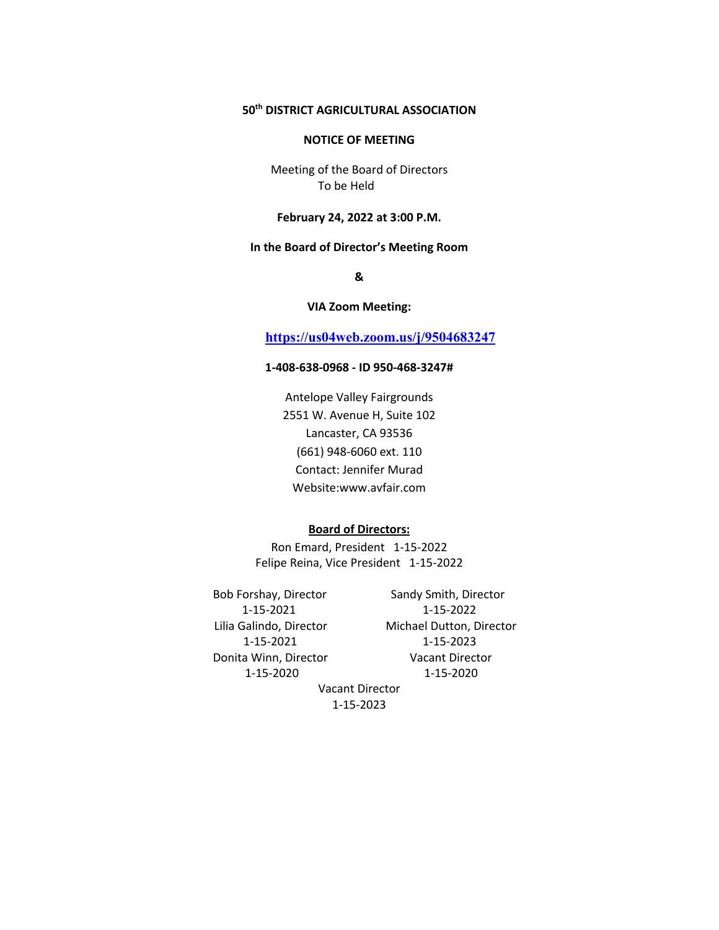# **50th DISTRICT AGRICULTURAL ASSOCIATION**

#### **NOTICE OF MEETING**

Meeting of the Board of Directors To be Held

#### **February 24, 2022 at 3:00 P.M.**

### **In the Board of Director's Meeting Room**

**&**

#### **VIA Zoom Meeting:**

# **https://us04web.zoom.us/j/9504683247**

## **1-408-638-0968 - ID 950-468-3247#**

Antelope Valley Fairgrounds 2551 W. Avenue H, Suite 102 Lancaster, CA 93536 (661) 948-6060 ext. 110 Contact: Jennifer Murad Website:www.avfair.com

# **Board of Directors:**

Ron Emard, President 1-15-2022 Felipe Reina, Vice President 1-15-2022

Bob Forshay, Director Sandy Smith, Director 1-15-2021 1-15-2022 1-15-2021 1-15-2023 Donita Winn, Director **Vacant Director** 

Lilia Galindo, Director Michael Dutton, Director 1-15-2020 1-15-2020

Vacant Director 1-15-2023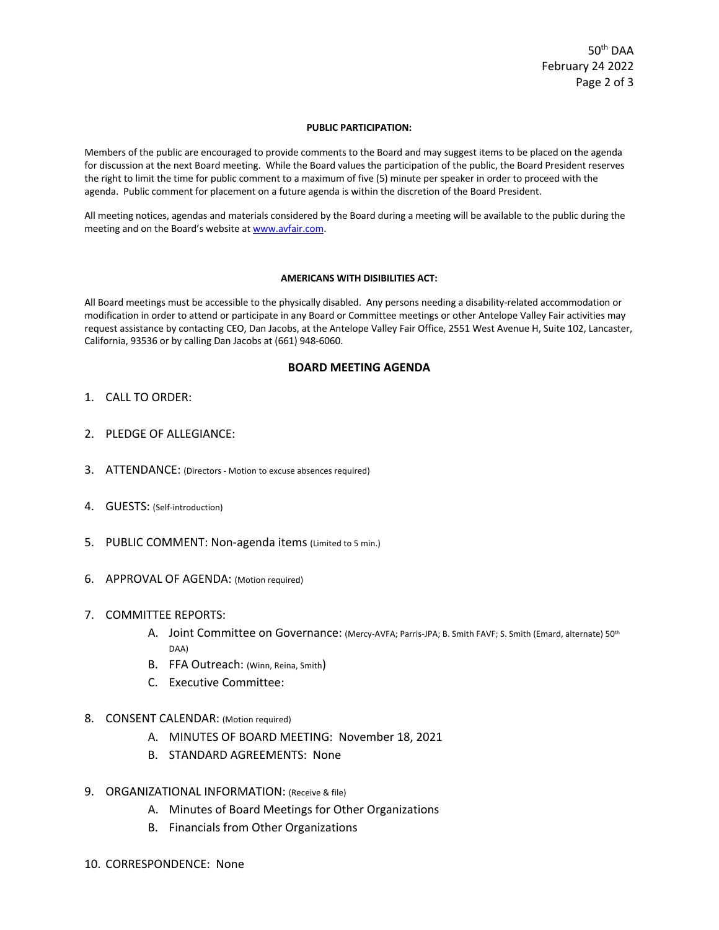#### **PUBLIC PARTICIPATION:**

Members of the public are encouraged to provide comments to the Board and may suggest items to be placed on the agenda for discussion at the next Board meeting. While the Board values the participation of the public, the Board President reserves the right to limit the time for public comment to a maximum of five (5) minute per speaker in order to proceed with the agenda. Public comment for placement on a future agenda is within the discretion of the Board President.

All meeting notices, agendas and materials considered by the Board during a meeting will be available to the public during the meeting and on the Board's website at www.avfair.com.

#### **AMERICANS WITH DISIBILITIES ACT:**

All Board meetings must be accessible to the physically disabled. Any persons needing a disability-related accommodation or modification in order to attend or participate in any Board or Committee meetings or other Antelope Valley Fair activities may request assistance by contacting CEO, Dan Jacobs, at the Antelope Valley Fair Office, 2551 West Avenue H, Suite 102, Lancaster, California, 93536 or by calling Dan Jacobs at (661) 948-6060.

### **BOARD MEETING AGENDA**

- 1. CALL TO ORDER:
- 2. PLEDGE OF ALLEGIANCE:
- 3. ATTENDANCE: (Directors Motion to excuse absences required)
- 4. GUESTS: (Self-introduction)
- 5. PUBLIC COMMENT: Non-agenda items (Limited to 5 min.)
- 6. APPROVAL OF AGENDA: (Motion required)
- 7. COMMITTEE REPORTS:
	- A. Joint Committee on Governance: (Mercy-AVFA; Parris-JPA; B. Smith FAVF; S. Smith (Emard, alternate) 50th DAA)
	- B. FFA Outreach: (Winn, Reina, Smith)
	- C. Executive Committee:
- 8. CONSENT CALENDAR: (Motion required)
	- A. MINUTES OF BOARD MEETING: November 18, 2021
	- B. STANDARD AGREEMENTS: None
- 9. ORGANIZATIONAL INFORMATION: (Receive & file)
	- A. Minutes of Board Meetings for Other Organizations
	- B. Financials from Other Organizations
- 10. CORRESPONDENCE: None